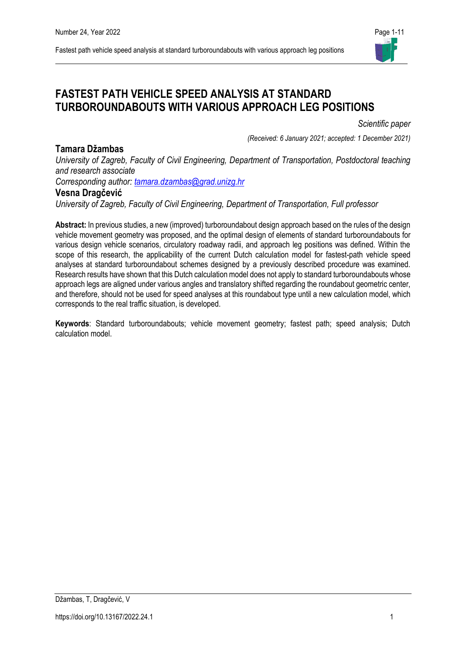

# **FASTEST PATH VEHICLE SPEED ANALYSIS AT STANDARD TURBOROUNDABOUTS WITH VARIOUS APPROACH LEG POSITIONS**

*Scientific paper* 

*(Received: 6 January 2021; accepted: 1 December 2021)*

*University of Zagreb, Faculty of Civil Engineering, Department of Transportation, Postdoctoral teaching and research associate*

*Corresponding author: [tamara.dzambas@grad.unizg.hr](mailto:tamara.dzambas@grad.unizg.hr)*

# **Vesna Dragčević**

**Tamara Džambas**

*University of Zagreb, Faculty of Civil Engineering, Department of Transportation, Full professor* 

**Abstract:** In previous studies, a new (improved) turboroundabout design approach based on the rules of the design vehicle movement geometry was proposed, and the optimal design of elements of standard turboroundabouts for various design vehicle scenarios, circulatory roadway radii, and approach leg positions was defined. Within the scope of this research, the applicability of the current Dutch calculation model for fastest-path vehicle speed analyses at standard turboroundabout schemes designed by a previously described procedure was examined. Research results have shown that this Dutch calculation model does not apply to standard turboroundabouts whose approach legs are aligned under various angles and translatory shifted regarding the roundabout geometric center, and therefore, should not be used for speed analyses at this roundabout type until a new calculation model, which corresponds to the real traffic situation, is developed.

**Keywords**: Standard turboroundabouts; vehicle movement geometry; fastest path; speed analysis; Dutch calculation model.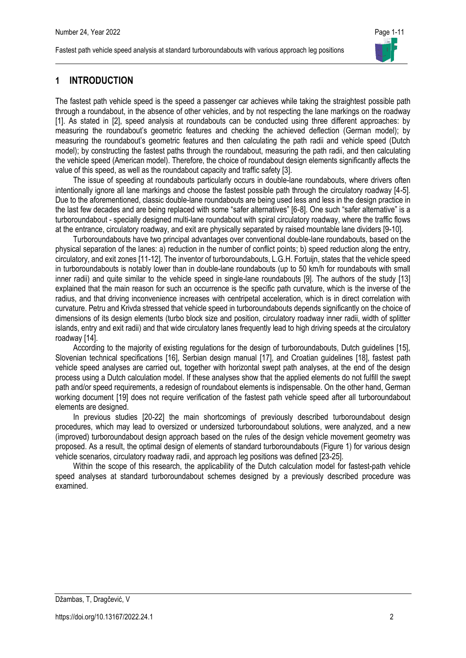

# **1 INTRODUCTION**

The fastest path vehicle speed is the speed a passenger car achieves while taking the straightest possible path through a roundabout, in the absence of other vehicles, and by not respecting the lane markings on the roadway [1]. As stated in [2], speed analysis at roundabouts can be conducted using three different approaches: by measuring the roundabout's geometric features and checking the achieved deflection (German model); by measuring the roundabout's geometric features and then calculating the path radii and vehicle speed (Dutch model); by constructing the fastest paths through the roundabout, measuring the path radii, and then calculating the vehicle speed (American model). Therefore, the choice of roundabout design elements significantly affects the value of this speed, as well as the roundabout capacity and traffic safety [3].

The issue of speeding at roundabouts particularly occurs in double-lane roundabouts, where drivers often intentionally ignore all lane markings and choose the fastest possible path through the circulatory roadway [4-5]. Due to the aforementioned, classic double-lane roundabouts are being used less and less in the design practice in the last few decades and are being replaced with some "safer alternatives" [6-8]. One such "safer alternative" is a turboroundabout - specially designed multi-lane roundabout with spiral circulatory roadway, where the traffic flows at the entrance, circulatory roadway, and exit are physically separated by raised mountable lane dividers [9-10].

Turboroundabouts have two principal advantages over conventional double-lane roundabouts, based on the physical separation of the lanes: a) reduction in the number of conflict points; b) speed reduction along the entry, circulatory, and exit zones [11-12]. The inventor of turboroundabouts, L.G.H. Fortuijn, states that the vehicle speed in turboroundabouts is notably lower than in double-lane roundabouts (up to 50 km/h for roundabouts with small inner radii) and quite similar to the vehicle speed in single-lane roundabouts [9]. The authors of the study [13] explained that the main reason for such an occurrence is the specific path curvature, which is the inverse of the radius, and that driving inconvenience increases with centripetal acceleration, which is in direct correlation with curvature. Petru and Krivda stressed that vehicle speed in turboroundabouts depends significantly on the choice of dimensions of its design elements (turbo block size and position, circulatory roadway inner radii, width of splitter islands, entry and exit radii) and that wide circulatory lanes frequently lead to high driving speeds at the circulatory roadway [14].

According to the majority of existing regulations for the design of turboroundabouts, Dutch guidelines [15], Slovenian technical specifications [16], Serbian design manual [17], and Croatian guidelines [18], fastest path vehicle speed analyses are carried out, together with horizontal swept path analyses, at the end of the design process using a Dutch calculation model. If these analyses show that the applied elements do not fulfill the swept path and/or speed requirements, a redesign of roundabout elements is indispensable. On the other hand, German working document [19] does not require verification of the fastest path vehicle speed after all turboroundabout elements are designed.

In previous studies [20-22] the main shortcomings of previously described turboroundabout design procedures, which may lead to oversized or undersized turboroundabout solutions, were analyzed, and a new (improved) turboroundabout design approach based on the rules of the design vehicle movement geometry was proposed. As a result, the optimal design of elements of standard turboroundabouts (Figure 1) for various design vehicle scenarios, circulatory roadway radii, and approach leg positions was defined [23-25].

Within the scope of this research, the applicability of the Dutch calculation model for fastest-path vehicle speed analyses at standard turboroundabout schemes designed by a previously described procedure was examined.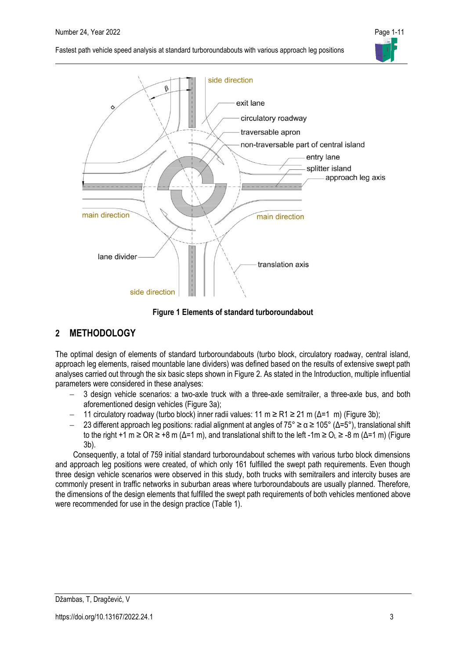



**Figure 1 Elements of standard turboroundabout**

# **2 METHODOLOGY**

The optimal design of elements of standard turboroundabouts (turbo block, circulatory roadway, central island, approach leg elements, raised mountable lane dividers) was defined based on the results of extensive swept path analyses carried out through the six basic steps shown in Figure 2. As stated in the Introduction, multiple influential parameters were considered in these analyses:

- 3 design vehicle scenarios: a two-axle truck with a three-axle semitrailer, a three-axle bus, and both aforementioned design vehicles (Figure 3a);
- − 11 circulatory roadway (turbo block) inner radii values: 11 m ≥ R1 ≥ 21 m (Δ=1 m) (Figure 3b);
- − 23 different approach leg positions: radial alignment at angles of 75° ≥ α ≥ 105° (Δ=5°), translational shift to the right +1 m  $\geq$  OR  $\geq$  +8 m (Δ=1 m), and translational shift to the left -1m  $\geq$  O<sub>i</sub>  $\geq$  -8 m (Δ=1 m) (Figure 3b).

Consequently, a total of 759 initial standard turboroundabout schemes with various turbo block dimensions and approach leg positions were created, of which only 161 fulfilled the swept path requirements. Even though three design vehicle scenarios were observed in this study, both trucks with semitrailers and intercity buses are commonly present in traffic networks in suburban areas where turboroundabouts are usually planned. Therefore, the dimensions of the design elements that fulfilled the swept path requirements of both vehicles mentioned above were recommended for use in the design practice (Table 1).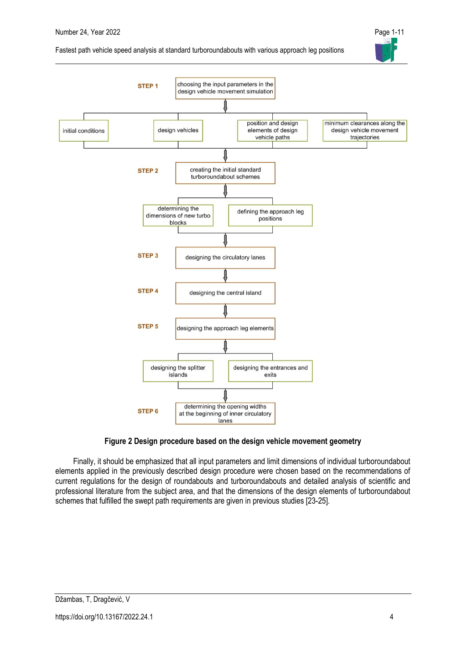





## **Figure 2 Design procedure based on the design vehicle movement geometry**

Finally, it should be emphasized that all input parameters and limit dimensions of individual turboroundabout elements applied in the previously described design procedure were chosen based on the recommendations of current regulations for the design of roundabouts and turboroundabouts and detailed analysis of scientific and professional literature from the subject area, and that the dimensions of the design elements of turboroundabout schemes that fulfilled the swept path requirements are given in previous studies [23-25].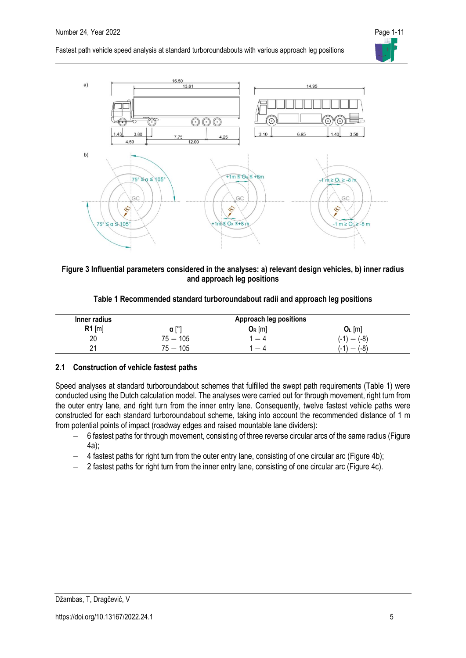

### **Figure 3 Influential parameters considered in the analyses: a) relevant design vehicles, b) inner radius and approach leg positions**

| Table 1 Recommended standard turboroundabout radii and approach leg positions |  |  |  |
|-------------------------------------------------------------------------------|--|--|--|
|                                                                               |  |  |  |

| Inner radius                    | <b>Approach leg positions</b>   |                                                 |                                        |  |  |  |
|---------------------------------|---------------------------------|-------------------------------------------------|----------------------------------------|--|--|--|
| D4.<br>$\lfloor m \rfloor$<br>. | гот<br>α                        | $\mathsf{J}_\mathsf{R}$ $\mathsf{I} \mathsf{m}$ | . Iml<br>UL                            |  |  |  |
| 20                              | 105<br>$75 -$                   | -                                               | $(-8)$<br>$(-1)$                       |  |  |  |
| າາ                              | 105<br>$\overline{\phantom{m}}$ | _                                               | (-8<br>1ء،<br>$\overline{\phantom{0}}$ |  |  |  |

### **2.1 Construction of vehicle fastest paths**

Speed analyses at standard turboroundabout schemes that fulfilled the swept path requirements (Table 1) were conducted using the Dutch calculation model. The analyses were carried out for through movement, right turn from the outer entry lane, and right turn from the inner entry lane. Consequently, twelve fastest vehicle paths were constructed for each standard turboroundabout scheme, taking into account the recommended distance of 1 m from potential points of impact (roadway edges and raised mountable lane dividers):

- − 6 fastest paths for through movement, consisting of three reverse circular arcs of the same radius (Figure 4a);
- − 4 fastest paths for right turn from the outer entry lane, consisting of one circular arc (Figure 4b);
- − 2 fastest paths for right turn from the inner entry lane, consisting of one circular arc (Figure 4c).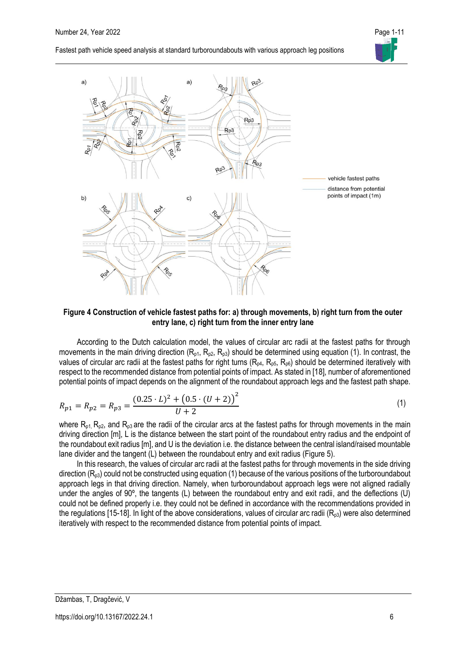



**Figure 4 Construction of vehicle fastest paths for: a) through movements, b) right turn from the outer entry lane, c) right turn from the inner entry lane**

According to the Dutch calculation model, the values of circular arc radii at the fastest paths for through movements in the main driving direction  $(R_{p1}, R_{p2}, R_{p3})$  should be determined using equation (1). In contrast, the values of circular arc radii at the fastest paths for right turns ( $R_{p4}$ ,  $R_{p5}$ ,  $R_{p6}$ ) should be determined iteratively with respect to the recommended distance from potential points of impact. As stated in [18], number of aforementioned potential points of impact depends on the alignment of the roundabout approach legs and the fastest path shape.

$$
R_{p1} = R_{p2} = R_{p3} = \frac{(0.25 \cdot L)^2 + (0.5 \cdot (U + 2))^2}{U + 2}
$$
 (1)

where  $R_{p1}$ ,  $R_{p2}$ , and  $R_{p3}$  are the radii of the circular arcs at the fastest paths for through movements in the main driving direction [m], L is the distance between the start point of the roundabout entry radius and the endpoint of the roundabout exit radius [m], and U is the deviation i.e. the distance between the central island/raised mountable lane divider and the tangent (L) between the roundabout entry and exit radius (Figure 5).

In this research, the values of circular arc radii at the fastest paths for through movements in the side driving direction  $(R_{p3})$  could not be constructed using equation (1) because of the various positions of the turboroundabout approach legs in that driving direction. Namely, when turboroundabout approach legs were not aligned radially under the angles of 90º, the tangents (L) between the roundabout entry and exit radii, and the deflections (U) could not be defined properly i.e. they could not be defined in accordance with the recommendations provided in the regulations [15-18]. In light of the above considerations, values of circular arc radii ( $R_{03}$ ) were also determined iteratively with respect to the recommended distance from potential points of impact.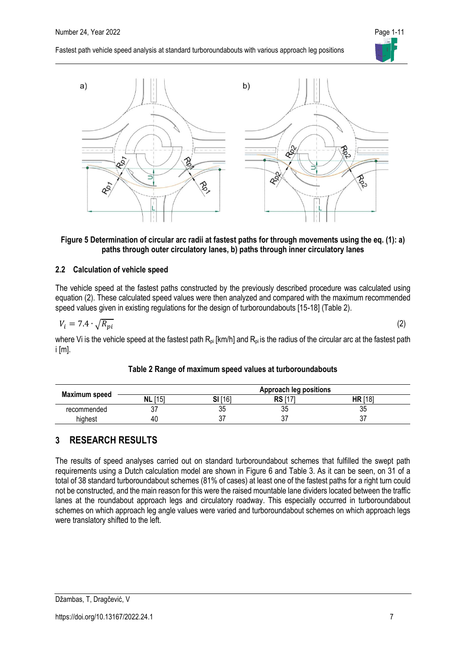

### **Figure 5 Determination of circular arc radii at fastest paths for through movements using the eq. (1): a) paths through outer circulatory lanes, b) paths through inner circulatory lanes**

### **2.2 Calculation of vehicle speed**

The vehicle speed at the fastest paths constructed by the previously described procedure was calculated using equation (2). These calculated speed values were then analyzed and compared with the maximum recommended speed values given in existing regulations for the design of turboroundabouts [15-18] (Table 2).

$$
V_i = 7.4 \cdot \sqrt{R_{pi}} \tag{2}
$$

where Vi is the vehicle speed at the fastest path  $R_{pi}$  [km/h] and  $R_{pi}$  is the radius of the circular arc at the fastest path i [m].

|               |            |         | <b>Approach leg positions</b> |                |
|---------------|------------|---------|-------------------------------|----------------|
| Maximum speed | [15]<br>NL | SI [16] | RS                            | <b>HR</b> [18] |
| recommended   | ັັ         | ບບ      | 35                            | vu             |
| highest       | 40         | ັ       | ົ<br>ا ب                      | ັັ             |

### **Table 2 Range of maximum speed values at turboroundabouts**

# **3 RESEARCH RESULTS**

The results of speed analyses carried out on standard turboroundabout schemes that fulfilled the swept path requirements using a Dutch calculation model are shown in Figure 6 and Table 3. As it can be seen, on 31 of a total of 38 standard turboroundabout schemes (81% of cases) at least one of the fastest paths for a right turn could not be constructed, and the main reason for this were the raised mountable lane dividers located between the traffic lanes at the roundabout approach legs and circulatory roadway. This especially occurred in turboroundabout schemes on which approach leg angle values were varied and turboroundabout schemes on which approach legs were translatory shifted to the left.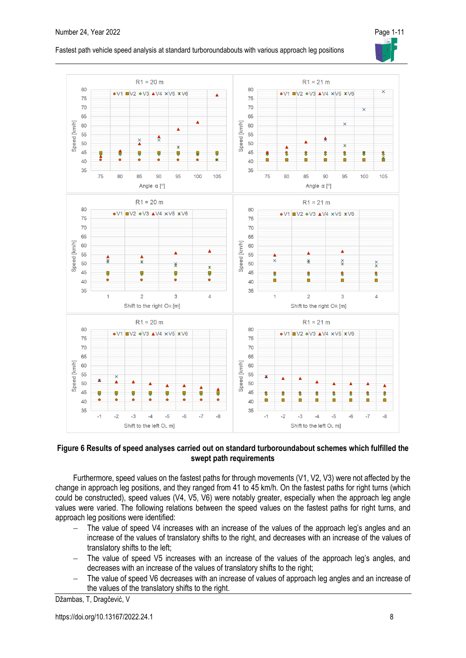

### **Figure 6 Results of speed analyses carried out on standard turboroundabout schemes which fulfilled the swept path requirements**

Furthermore, speed values on the fastest paths for through movements (V1, V2, V3) were not affected by the change in approach leg positions, and they ranged from 41 to 45 km/h. On the fastest paths for right turns (which could be constructed), speed values (V4, V5, V6) were notably greater, especially when the approach leg angle values were varied. The following relations between the speed values on the fastest paths for right turns, and approach leg positions were identified:

- The value of speed V4 increases with an increase of the values of the approach leg's angles and an increase of the values of translatory shifts to the right, and decreases with an increase of the values of translatory shifts to the left;
- − The value of speed V5 increases with an increase of the values of the approach leg's angles, and decreases with an increase of the values of translatory shifts to the right;
- The value of speed V6 decreases with an increase of values of approach leg angles and an increase of the values of the translatory shifts to the right.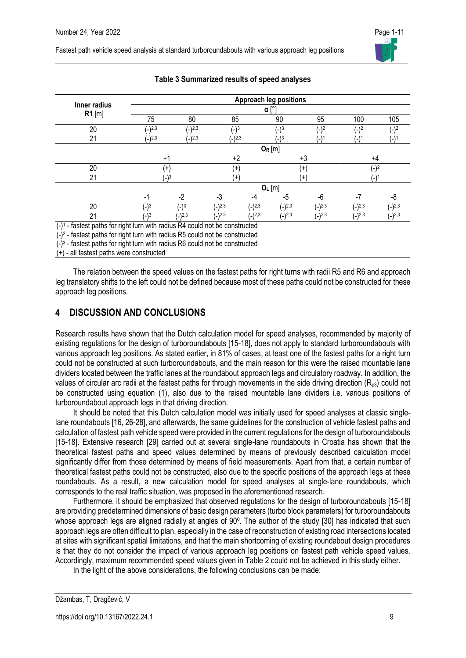

|                          | <b>Approach leg positions</b> |             |             |          |             |          |                  |          |  |
|--------------------------|-------------------------------|-------------|-------------|----------|-------------|----------|------------------|----------|--|
| Inner radius<br>$R1$ [m] | $\alpha$ [ $\degree$ ]        |             |             |          |             |          |                  |          |  |
|                          | 75                            | 80          | 85          |          | 90          | 95       | 100              | 105      |  |
| 20                       | $(-)^{2,3}$                   | $(-)^{2,3}$ | $(-)^3$     |          | $(-)^3$     | $(-)^2$  | $(-)^2$          | $(-)^2$  |  |
| 21                       | $(-)2,3$                      | $(-)2,3$    | $(-)2,3$    |          | (_)3        | (-)1     | (-) <sup>.</sup> | (-)1     |  |
|                          | $O_R$ [m]                     |             |             |          |             |          |                  |          |  |
|                          | $+1$                          |             | $+2$        |          |             | $+3$     | $+4$             |          |  |
| 20                       | $+$                           |             | $^{(+)}$    | $^{+}$   |             |          | $^{\prime}$ _)2  |          |  |
| 21                       |                               | (_)3        | $^{(+)}$    |          |             | $+$      | '۱′              |          |  |
|                          | $O_L$ [m]                     |             |             |          |             |          |                  |          |  |
|                          | $-1$                          | $-2$        | -3          | -4       | -5          | -6       | $-7$             | -8       |  |
| 20                       | $(-)^3$                       | $(-)^3$     | $(-)^{2,3}$ | $(-)2,3$ | $(-)^{2,3}$ | $(-)2,3$ | $(-)^{2,3}$      | $(-)2,3$ |  |
| 21                       | $^{\prime}$ -)3               | $($ .)2,3   | $(-)2,3$    | $(-)2,3$ | $(-)2,3$    | $(-)2,3$ | $(-)2,3$         | $(-)2,3$ |  |

## **Table 3 Summarized results of speed analyses**

(-) 1 - fastest paths for right turn with radius R4 could not be constructed

(-) 2 - fastest paths for right turn with radius R5 could not be constructed

(-) 3 - fastest paths for right turn with radius R6 could not be constructed

 $(+)$  - all fastest paths were constructed

The relation between the speed values on the fastest paths for right turns with radii R5 and R6 and approach leg translatory shifts to the left could not be defined because most of these paths could not be constructed for these approach leg positions.

# **4 DISCUSSION AND CONCLUSIONS**

Research results have shown that the Dutch calculation model for speed analyses, recommended by majority of existing regulations for the design of turboroundabouts [15-18], does not apply to standard turboroundabouts with various approach leg positions. As stated earlier, in 81% of cases, at least one of the fastest paths for a right turn could not be constructed at such turboroundabouts, and the main reason for this were the raised mountable lane dividers located between the traffic lanes at the roundabout approach legs and circulatory roadway. In addition, the values of circular arc radii at the fastest paths for through movements in the side driving direction ( $R_{03}$ ) could not be constructed using equation (1), also due to the raised mountable lane dividers i.e. various positions of turboroundabout approach legs in that driving direction.

It should be noted that this Dutch calculation model was initially used for speed analyses at classic singlelane roundabouts [16, 26-28], and afterwards, the same guidelines for the construction of vehicle fastest paths and calculation of fastest path vehicle speed were provided in the current regulations for the design of turboroundabouts [15-18]. Extensive research [29] carried out at several single-lane roundabouts in Croatia has shown that the theoretical fastest paths and speed values determined by means of previously described calculation model significantly differ from those determined by means of field measurements. Apart from that, a certain number of theoretical fastest paths could not be constructed, also due to the specific positions of the approach legs at these roundabouts. As a result, a new calculation model for speed analyses at single-lane roundabouts, which corresponds to the real traffic situation, was proposed in the aforementioned research.

Furthermore, it should be emphasized that observed regulations for the design of turboroundabouts [15-18] are providing predetermined dimensions of basic design parameters (turbo block parameters) for turboroundabouts whose approach legs are aligned radially at angles of 90°. The author of the study [30] has indicated that such approach legs are often difficult to plan, especially in the case of reconstruction of existing road intersections located at sites with significant spatial limitations, and that the main shortcoming of existing roundabout design procedures is that they do not consider the impact of various approach leg positions on fastest path vehicle speed values. Accordingly, maximum recommended speed values given in Table 2 could not be achieved in this study either.

In the light of the above considerations, the following conclusions can be made: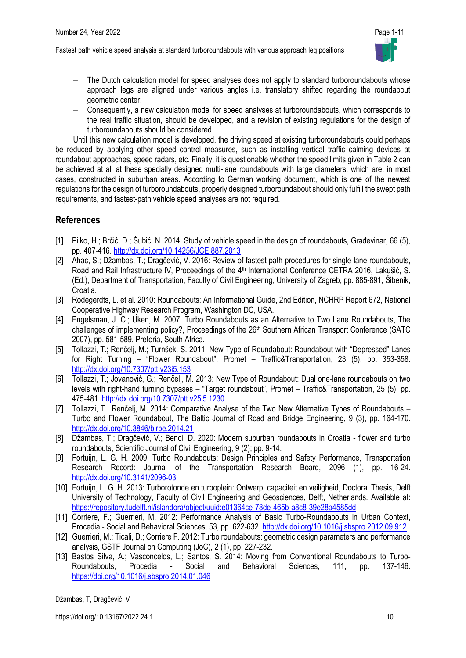

- The Dutch calculation model for speed analyses does not apply to standard turboroundabouts whose approach legs are aligned under various angles i.e. translatory shifted regarding the roundabout geometric center;
- − Consequently, a new calculation model for speed analyses at turboroundabouts, which corresponds to the real traffic situation, should be developed, and a revision of existing regulations for the design of turboroundabouts should be considered.

Until this new calculation model is developed, the driving speed at existing turboroundabouts could perhaps be reduced by applying other speed control measures, such as installing vertical traffic calming devices at roundabout approaches, speed radars, etc. Finally, it is questionable whether the speed limits given in Table 2 can be achieved at all at these specially designed multi-lane roundabouts with large diameters, which are, in most cases, constructed in suburban areas. According to German working document, which is one of the newest regulations for the design of turboroundabouts, properly designed turboroundabout should only fulfill the swept path requirements, and fastest-path vehicle speed analyses are not required.

# **References**

- [1] Pilko, H.; Brčić, D.; Šubić, N. 2014: Study of vehicle speed in the design of roundabouts, Građevinar, 66 (5), pp. 407-416. <http://dx.doi.org/10.14256/JCE.887.2013>
- [2] Ahac, S.; Džambas, T.; Dragčević, V. 2016: Review of fastest path procedures for single-lane roundabouts, Road and Rail Infrastructure IV, Proceedings of the 4<sup>th</sup> International Conference CETRA 2016, Lakušić, S. (Ed.), Department of Transportation, Faculty of Civil Engineering, University of Zagreb, pp. 885-891, Šibenik, Croatia.
- [3] Rodegerdts, L. et al. 2010: Roundabouts: An Informational Guide, 2nd Edition, NCHRP Report 672, National Cooperative Highway Research Program, Washington DC, USA.
- [4] Engelsman, J. C.; Uken, M. 2007: Turbo Roundabouts as an Alternative to Two Lane Roundabouts, The challenges of implementing policy?, Proceedings of the 26<sup>th</sup> Southern African Transport Conference (SATC 2007), pp. 581-589, Pretoria, South Africa.
- [5] Tollazzi, T.; Renčelj, M.; Turnšek, S. 2011: New Type of Roundabout: Roundabout with "Depressed" Lanes for Right Turning – "Flower Roundabout", Promet – Traffic&Transportation, 23 (5), pp. 353-358. <http://dx.doi.org/10.7307/ptt.v23i5.153>
- [6] Tollazzi, T.; Jovanović, G.; Renčelj, M. 2013: New Type of Roundabout: Dual one-lane roundabouts on two levels with right-hand turning bypases – "Target roundabout", Promet – Traffic&Transportation, 25 (5), pp. 475-481. <http://dx.doi.org/10.7307/ptt.v25i5.1230>
- [7] Tollazzi, T.; Renčelj, M. 2014: Comparative Analyse of the Two New Alternative Types of Roundabouts Turbo and Flower Roundabout, The Baltic Journal of Road and Bridge Engineering, 9 (3), pp. 164-170. <http://dx.doi.org/10.3846/bjrbe.2014.21>
- [8] Džambas, T.; Dragčević, V.; Benci, D. 2020: Modern suburban roundabouts in Croatia flower and turbo roundabouts, Scientific Journal of Civil Engineering, 9 (2); pp. 9-14.
- [9] Fortuijn, L. G. H. 2009: Turbo Roundabouts: Design Principles and Safety Performance, Transportation Research Record: Journal of the Transportation Research Board, 2096 (1), pp. 16-24. <http://dx.doi.org/10.3141/2096-03>
- [10] Fortuijn, L. G. H. 2013: Turborotonde en turboplein: Ontwerp, capaciteit en veiligheid, Doctoral Thesis, Delft University of Technology, Faculty of Civil Engineering and Geosciences, Delft, Netherlands. Available at: <https://repository.tudelft.nl/islandora/object/uuid:e01364ce-78de-465b-a8c8-39e28a4585dd>
- [11] Corriere, F.; Guerrieri, M. 2012: Performance Analysis of Basic Turbo-Roundabouts in Urban Context, Procedia - Social and Behavioral Sciences, 53, pp. 622-632. <http://dx.doi.org/10.1016/j.sbspro.2012.09.912>
- [12] Guerrieri, M.; Ticali, D.; Corriere F. 2012: Turbo roundabouts: geometric design parameters and performance analysis, GSTF Journal on Computing (JoC), 2 (1), pp. 227-232.
- [13] Bastos Silva, A.; Vasconcelos, L.; Santos, S. 2014: Moving from Conventional Roundabouts to Turbo-Roundabouts, Procedia - Social and Behavioral Sciences, 111, pp. 137-146. <https://doi.org/10.1016/j.sbspro.2014.01.046>